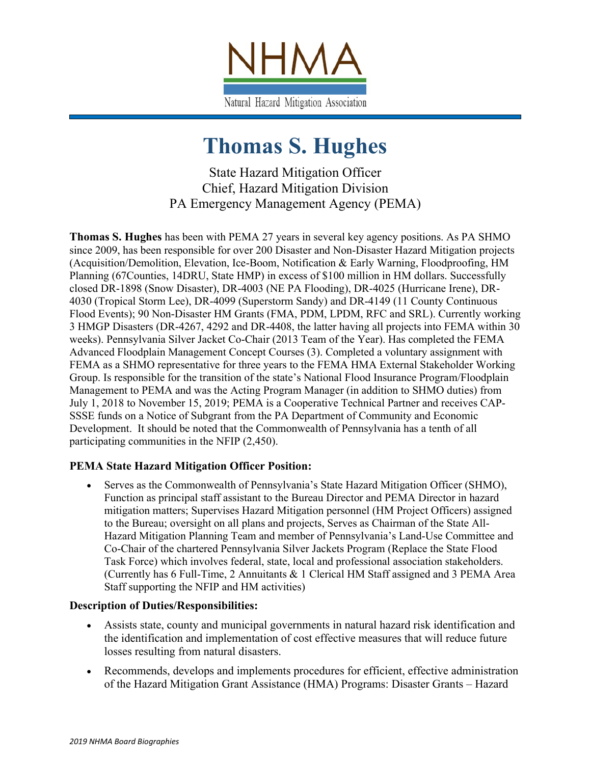

# **Thomas S. Hughes**

State Hazard Mitigation Officer Chief, Hazard Mitigation Division PA Emergency Management Agency (PEMA)

**Thomas S. Hughes** has been with PEMA 27 years in several key agency positions. As PA SHMO since 2009, has been responsible for over 200 Disaster and Non-Disaster Hazard Mitigation projects (Acquisition/Demolition, Elevation, Ice-Boom, Notification & Early Warning, Floodproofing, HM Planning (67Counties, 14DRU, State HMP) in excess of \$100 million in HM dollars. Successfully closed DR-1898 (Snow Disaster), DR-4003 (NE PA Flooding), DR-4025 (Hurricane Irene), DR-4030 (Tropical Storm Lee), DR-4099 (Superstorm Sandy) and DR-4149 (11 County Continuous Flood Events); 90 Non-Disaster HM Grants (FMA, PDM, LPDM, RFC and SRL). Currently working 3 HMGP Disasters (DR-4267, 4292 and DR-4408, the latter having all projects into FEMA within 30 weeks). Pennsylvania Silver Jacket Co-Chair (2013 Team of the Year). Has completed the FEMA Advanced Floodplain Management Concept Courses (3). Completed a voluntary assignment with FEMA as a SHMO representative for three years to the FEMA HMA External Stakeholder Working Group. Is responsible for the transition of the state's National Flood Insurance Program/Floodplain Management to PEMA and was the Acting Program Manager (in addition to SHMO duties) from July 1, 2018 to November 15, 2019; PEMA is a Cooperative Technical Partner and receives CAP-SSSE funds on a Notice of Subgrant from the PA Department of Community and Economic Development. It should be noted that the Commonwealth of Pennsylvania has a tenth of all participating communities in the NFIP (2,450).

## **PEMA State Hazard Mitigation Officer Position:**

• Serves as the Commonwealth of Pennsylvania's State Hazard Mitigation Officer (SHMO), Function as principal staff assistant to the Bureau Director and PEMA Director in hazard mitigation matters; Supervises Hazard Mitigation personnel (HM Project Officers) assigned to the Bureau; oversight on all plans and projects, Serves as Chairman of the State All-Hazard Mitigation Planning Team and member of Pennsylvania's Land-Use Committee and Co-Chair of the chartered Pennsylvania Silver Jackets Program (Replace the State Flood Task Force) which involves federal, state, local and professional association stakeholders. (Currently has 6 Full-Time, 2 Annuitants & 1 Clerical HM Staff assigned and 3 PEMA Area Staff supporting the NFIP and HM activities)

#### **Description of Duties/Responsibilities:**

- Assists state, county and municipal governments in natural hazard risk identification and the identification and implementation of cost effective measures that will reduce future losses resulting from natural disasters.
- Recommends, develops and implements procedures for efficient, effective administration of the Hazard Mitigation Grant Assistance (HMA) Programs: Disaster Grants – Hazard